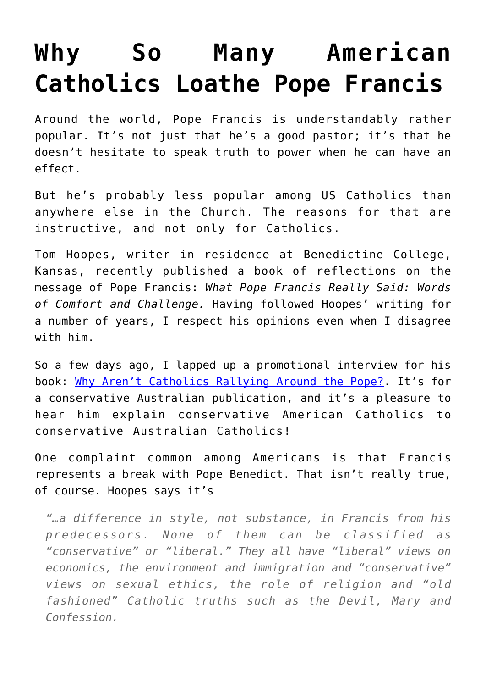## **[Why So Many American](https://intellectualtakeout.org/2017/07/why-so-many-american-catholics-loathe-pope-francis/) [Catholics Loathe Pope Francis](https://intellectualtakeout.org/2017/07/why-so-many-american-catholics-loathe-pope-francis/)**

Around the world, Pope Francis is understandably rather popular. It's not just that he's a good pastor; it's that he doesn't hesitate to speak truth to power when he can have an effect.

But he's probably less popular among US Catholics than anywhere else in the Church. The reasons for that are instructive, and not only for Catholics.

Tom Hoopes, writer in residence at Benedictine College, Kansas, recently published a book of reflections on the message of Pope Francis: *What Pope Francis Really Said: Words of Comfort and Challenge.* Having followed Hoopes' writing for a number of years, I respect his opinions even when I disagree with him.

So a few days ago, I lapped up a promotional interview for his book: [Why Aren't Catholics Rallying Around the Pope?](https://www.intellectualtakeout.org/Why%20Aren%E2%80%99t%20Catholics%20Rallying%20Around%20the%20Pope). It's for a conservative Australian publication, and it's a pleasure to hear him explain conservative American Catholics to conservative Australian Catholics!

One complaint common among Americans is that Francis represents a break with Pope Benedict. That isn't really true, of course. Hoopes says it's

*"…a difference in style, not substance, in Francis from his predecessors. None of them can be classified as "conservative" or "liberal." They all have "liberal" views on economics, the environment and immigration and "conservative" views on sexual ethics, the role of religion and "old fashioned" Catholic truths such as the Devil, Mary and Confession.*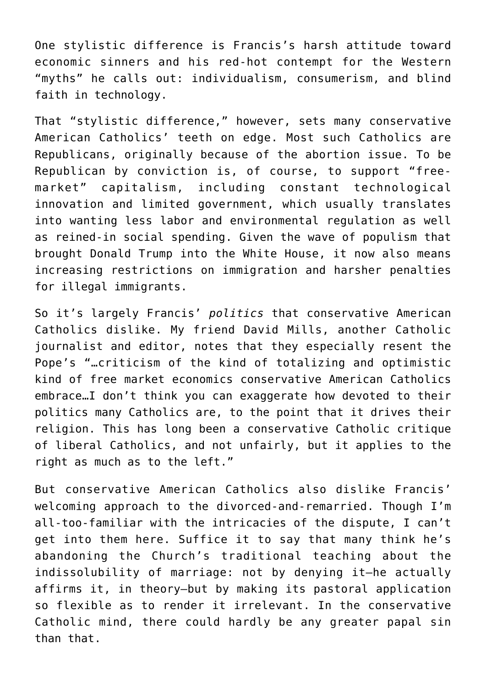One stylistic difference is Francis's harsh attitude toward economic sinners and his red-hot contempt for the Western "myths" he calls out: individualism, consumerism, and blind faith in technology.

That "stylistic difference," however, sets many conservative American Catholics' teeth on edge. Most such Catholics are Republicans, originally because of the abortion issue. To be Republican by conviction is, of course, to support "freemarket" capitalism, including constant technological innovation and limited government, which usually translates into wanting less labor and environmental regulation as well as reined-in social spending. Given the wave of populism that brought Donald Trump into the White House, it now also means increasing restrictions on immigration and harsher penalties for illegal immigrants.

So it's largely Francis' *politics* that conservative American Catholics dislike. My friend David Mills, another Catholic journalist and editor, notes that they especially resent the Pope's "…criticism of the kind of totalizing and optimistic kind of free market economics conservative American Catholics embrace…I don't think you can exaggerate how devoted to their politics many Catholics are, to the point that it drives their religion. This has long been a conservative Catholic critique of liberal Catholics, and not unfairly, but it applies to the right as much as to the left."

But conservative American Catholics also dislike Francis' welcoming approach to the divorced-and-remarried. Though I'm all-too-familiar with the intricacies of the dispute, I can't get into them here. Suffice it to say that many think he's abandoning the Church's traditional teaching about the indissolubility of marriage: not by denying it—he actually affirms it, in theory—but by making its pastoral application so flexible as to render it irrelevant. In the conservative Catholic mind, there could hardly be any greater papal sin than that.